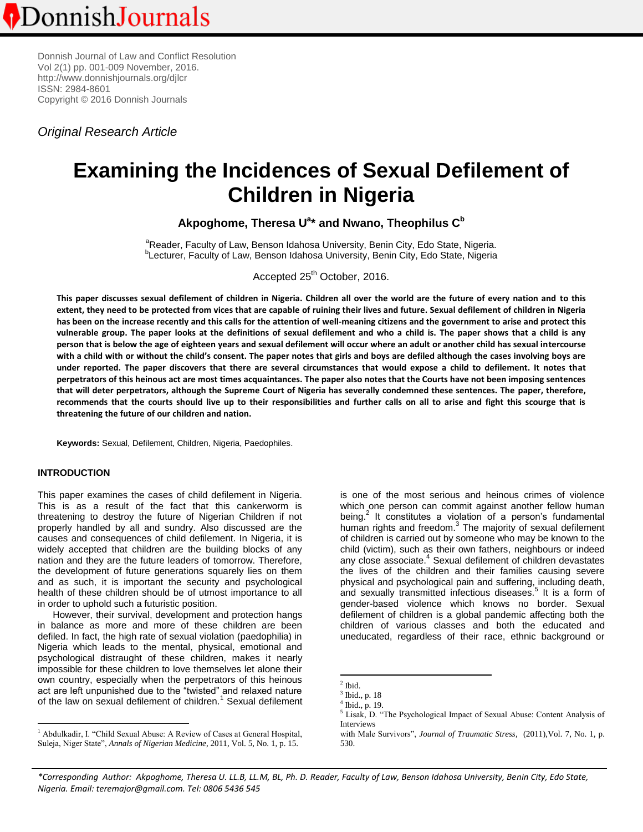Donnish Journal of Law and Conflict Resolution Vol 2(1) pp. 001-009 November, 2016. http:[//www.donnishjournals.org/djlcr](http://www.donnishjournals.org/djar) ISSN: 2984-8601 Copyright © 2016 Donnish Journals

*Original Research Article*

# **Examining the Incidences of Sexual Defilement of Children in Nigeria**

**Akpoghome, Theresa U<sup>a</sup> \* and Nwano, Theophilus C<sup>b</sup>**

<sup>a</sup>Reader, Faculty of Law, Benson Idahosa University, Benin City, Edo State, Nigeria. <sup>b</sup>Lecturer, Faculty of Law, Benson Idahosa University, Benin City, Edo State, Nigeria

Accepted 25<sup>th</sup> October, 2016.

**This paper discusses sexual defilement of children in Nigeria. Children all over the world are the future of every nation and to this extent, they need to be protected from vices that are capable of ruining their lives and future. Sexual defilement of children in Nigeria has been on the increase recently and this calls for the attention of well-meaning citizens and the government to arise and protect this vulnerable group. The paper looks at the definitions of sexual defilement and who a child is. The paper shows that a child is any person that is below the age of eighteen years and sexual defilement will occur where an adult or another child has sexual intercourse with a child with or without the child's consent. The paper notes that girls and boys are defiled although the cases involving boys are under reported. The paper discovers that there are several circumstances that would expose a child to defilement. It notes that perpetrators of this heinous act are most times acquaintances. The paper also notes that the Courts have not been imposing sentences that will deter perpetrators, although the Supreme Court of Nigeria has severally condemned these sentences. The paper, therefore, recommends that the courts should live up to their responsibilities and further calls on all to arise and fight this scourge that is threatening the future of our children and nation.** 

**Keywords:** Sexual, Defilement, Children, Nigeria, Paedophiles.

## **INTRODUCTION**

 $\overline{a}$ 

This paper examines the cases of child defilement in Nigeria. This is as a result of the fact that this cankerworm is threatening to destroy the future of Nigerian Children if not properly handled by all and sundry. Also discussed are the causes and consequences of child defilement. In Nigeria, it is widely accepted that children are the building blocks of any nation and they are the future leaders of tomorrow. Therefore, the development of future generations squarely lies on them and as such, it is important the security and psychological health of these children should be of utmost importance to all in order to uphold such a futuristic position.

However, their survival, development and protection hangs in balance as more and more of these children are been defiled. In fact, the high rate of sexual violation (paedophilia) in Nigeria which leads to the mental, physical, emotional and psychological distraught of these children, makes it nearly impossible for these children to love themselves let alone their own country, especially when the perpetrators of this heinous act are left unpunished due to the "twisted" and relaxed nature of the law on sexual defilement of children.<sup>1</sup> Sexual defilement is one of the most serious and heinous crimes of violence which one person can commit against another fellow human being.<sup>2</sup> It constitutes a violation of a person's fundamental human rights and freedom.<sup>3</sup> The majority of sexual defilement of children is carried out by someone who may be known to the child (victim), such as their own fathers, neighbours or indeed any close associate.<sup>4</sup> Sexual defilement of children devastates the lives of the children and their families causing severe physical and psychological pain and suffering, including death, and sexually transmitted infectious diseases.<sup>5</sup> It is a form of gender-based violence which knows no border. Sexual defilement of children is a global pandemic affecting both the children of various classes and both the educated and uneducated, regardless of their race, ethnic background or

l

*\*Corresponding Author: Akpoghome, Theresa U. LL.B, LL.M, BL, Ph. D. Reader, Faculty of Law, Benson Idahosa University, Benin City, Edo State, Nigeria. Email: teremajor@gmail.com. Tel: 0806 5436 545*

<sup>&</sup>lt;sup>1</sup> Abdulkadir, I. "Child Sexual Abuse: A Review of Cases at General Hospital, Suleja, Niger State", *Annals of Nigerian Medicine*, 2011, Vol. 5, No. 1, p. 15.

<sup>2</sup> Ibid.

<sup>3</sup> Ibid., p. 18

<sup>4</sup> Ibid., p. 19.

<sup>5</sup> Lisak, D. "The Psychological Impact of Sexual Abuse: Content Analysis of Interviews

with Male Survivors", *Journal of Traumatic Stress*, (2011),Vol. 7, No. 1, p. 530.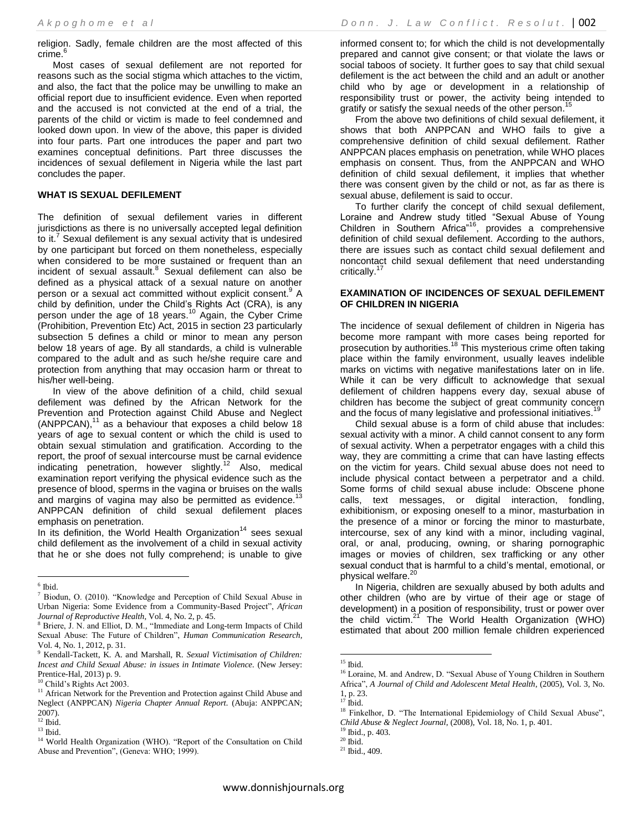religion. Sadly, female children are the most affected of this crime.<sup>6</sup>

Most cases of sexual defilement are not reported for reasons such as the social stigma which attaches to the victim, and also, the fact that the police may be unwilling to make an official report due to insufficient evidence. Even when reported and the accused is not convicted at the end of a trial, the parents of the child or victim is made to feel condemned and looked down upon. In view of the above, this paper is divided into four parts. Part one introduces the paper and part two examines conceptual definitions. Part three discusses the incidences of sexual defilement in Nigeria while the last part concludes the paper.

## **WHAT IS SEXUAL DEFILEMENT**

The definition of sexual defilement varies in different jurisdictions as there is no universally accepted legal definition to it.<sup>7</sup> Sexual defilement is any sexual activity that is undesired by one participant but forced on them nonetheless, especially when considered to be more sustained or frequent than an incident of sexual assault.<sup>8</sup> Sexual defilement can also be defined as a physical attack of a sexual nature on another person or a sexual act committed without explicit consent.<sup>9</sup> A child by definition, under the Child's Rights Act (CRA), is any person under the age of 18 years.<sup>10</sup> Again, the Cyber Crime (Prohibition, Prevention Etc) Act, 2015 in section 23 particularly subsection 5 defines a child or minor to mean any person below 18 years of age. By all standards, a child is vulnerable compared to the adult and as such he/she require care and protection from anything that may occasion harm or threat to his/her well-being.

In view of the above definition of a child, child sexual defilement was defined by the African Network for the Prevention and Protection against Child Abuse and Neglect  $(ANPPCAN),<sup>11</sup>$  as a behaviour that exposes a child below 18 years of age to sexual content or which the child is used to obtain sexual stimulation and gratification. According to the report, the proof of sexual intercourse must be carnal evidence indicating penetration, however slightly.<sup>12</sup> Also, medical examination report verifying the physical evidence such as the presence of blood, sperms in the vagina or bruises on the walls and margins of vagina may also be permitted as evidence.<sup>1</sup> ANPPCAN definition of child sexual defilement places emphasis on penetration.

In its definition, the World Health Organization<sup>14</sup> sees sexual child defilement as the involvement of a child in sexual activity that he or she does not fully comprehend; is unable to give

informed consent to; for which the child is not developmentally prepared and cannot give consent; or that violate the laws or social taboos of society. It further goes to say that child sexual defilement is the act between the child and an adult or another child who by age or development in a relationship of responsibility trust or power, the activity being intended to gratify or satisfy the sexual needs of the other person.<sup>15</sup>

From the above two definitions of child sexual defilement, it shows that both ANPPCAN and WHO fails to give a comprehensive definition of child sexual defilement. Rather ANPPCAN places emphasis on penetration, while WHO places emphasis on consent. Thus, from the ANPPCAN and WHO definition of child sexual defilement, it implies that whether there was consent given by the child or not, as far as there is sexual abuse, defilement is said to occur.

To further clarify the concept of child sexual defilement, Loraine and Andrew study titled "Sexual Abuse of Young Children in Southern Africa<sup>"16</sup>, provides a comprehensive definition of child sexual defilement. According to the authors, there are issues such as contact child sexual defilement and noncontact child sexual defilement that need understanding critically.<sup>17</sup>

#### **EXAMINATION OF INCIDENCES OF SEXUAL DEFILEMENT OF CHILDREN IN NIGERIA**

The incidence of sexual defilement of children in Nigeria has become more rampant with more cases being reported for prosecution by authorities.<sup>18</sup> This mysterious crime often taking place within the family environment, usually leaves indelible marks on victims with negative manifestations later on in life. While it can be very difficult to acknowledge that sexual defilement of children happens every day, sexual abuse of children has become the subject of great community concern and the focus of many legislative and professional initiatives.<sup>1</sup>

Child sexual abuse is a form of child abuse that includes: sexual activity with a minor. A child cannot consent to any form of sexual activity. When a perpetrator engages with a child this way, they are committing a crime that can have lasting effects on the victim for years. Child sexual abuse does not need to include physical contact between a perpetrator and a child. Some forms of child sexual abuse include: Obscene phone calls, text messages, or digital interaction, fondling, exhibitionism, or exposing oneself to a minor, masturbation in the presence of a minor or forcing the minor to masturbate, intercourse, sex of any kind with a minor, including vaginal, oral, or anal, producing, owning, or sharing pornographic images or movies of children, sex trafficking or any other sexual conduct that is harmful to a child's mental, emotional, or physical welfare.<sup>2</sup>

In Nigeria, children are sexually abused by both adults and other children (who are by virtue of their age or stage of development) in a position of responsibility, trust or power over the child victim. $2^1$  The World Health Organization (WHO) estimated that about 200 million female children experienced

 $\overline{a}$ 

 $^{9}$  Ibid., p. 403.

 6 Ibid.

<sup>7</sup> Biodun, O. (2010). "Knowledge and Perception of Child Sexual Abuse in Urban Nigeria: Some Evidence from a Community-Based Project", *African Journal of Reproductive Health*, Vol. 4, No. 2, p. 45.

<sup>8</sup> Briere, J. N. and Elliot, D. M., "Immediate and Long-term Impacts of Child Sexual Abuse: The Future of Children", *Human Communication Research*, Vol. 4, No. 1, 2012, p. 31.

<sup>9</sup> Kendall-Tackett, K. A. and Marshall, R. *Sexual Victimisation of Children: Incest and Child Sexual Abuse: in issues in Intimate Violence.* (New Jersey: Prentice-Hal, 2013) p. 9.

<sup>10</sup> Child's Rights Act 2003.

<sup>&</sup>lt;sup>11</sup> African Network for the Prevention and Protection against Child Abuse and Neglect (ANPPCAN) *Nigeria Chapter Annual Report.* (Abuja: ANPPCAN; 2007).  $^{12}$  Ibid.  $\,$ 

 $13$  Ibid.

<sup>&</sup>lt;sup>14</sup> World Health Organization (WHO). "Report of the Consultation on Child Abuse and Prevention", (Geneva: WHO; 1999).

 $15$  Ibid.

<sup>&</sup>lt;sup>16</sup> Loraine, M. and Andrew, D. "Sexual Abuse of Young Children in Southern Africa", *A Journal of Child and Adolescent Metal Health*, (2005), Vol. 3, No.  $1, p. 23.$ 

<sup>17</sup> Ibid.

<sup>&</sup>lt;sup>18</sup> Finkelhor, D. "The International Epidemiology of Child Sexual Abuse", *Child Abuse & Neglect Journal*, (2008), Vol. 18, No. 1, p. 401.

 $^{\rm 20}$  Ibid.

<sup>21</sup> Ibid., 409.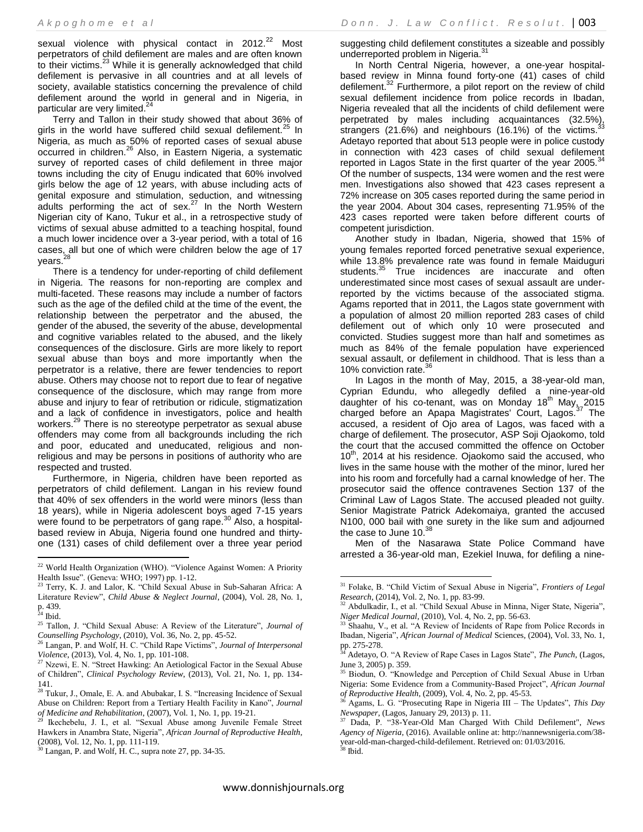sexual violence with physical contact in  $2012.<sup>22</sup>$  Most perpetrators of child defilement are males and are often known to their victims.<sup>23</sup> While it is generally acknowledged that child defilement is pervasive in all countries and at all levels of society, available statistics concerning the prevalence of child defilement around the world in general and in Nigeria, in particular are very limited.<sup>24</sup>

Terry and Tallon in their study showed that about 36% of girls in the world have suffered child sexual defilement.<sup>25</sup> In Nigeria, as much as 50% of reported cases of sexual abuse occurred in children.<sup>26</sup> Also, in Eastern Nigeria, a systematic survey of reported cases of child defilement in three major towns including the city of Enugu indicated that 60% involved girls below the age of 12 years, with abuse including acts of genital exposure and stimulation, seduction, and witnessing adults performing the act of sex.<sup>27</sup> In the North Western Nigerian city of Kano, Tukur et al., in a retrospective study of victims of sexual abuse admitted to a teaching hospital, found a much lower incidence over a 3-year period, with a total of 16 cases, all but one of which were children below the age of 17 years.<sup>28</sup>

There is a tendency for under-reporting of child defilement in Nigeria. The reasons for non-reporting are complex and multi-faceted. These reasons may include a number of factors such as the age of the defiled child at the time of the event, the relationship between the perpetrator and the abused, the gender of the abused, the severity of the abuse, developmental and cognitive variables related to the abused, and the likely consequences of the disclosure. Girls are more likely to report sexual abuse than boys and more importantly when the perpetrator is a relative, there are fewer tendencies to report abuse. Others may choose not to report due to fear of negative consequence of the disclosure, which may range from more abuse and injury to fear of retribution or ridicule, stigmatization and a lack of confidence in investigators, police and health workers.<sup>29</sup> There is no stereotype perpetrator as sexual abuse offenders may come from all backgrounds including the rich and poor, educated and uneducated, religious and nonreligious and may be persons in positions of authority who are respected and trusted.

Furthermore, in Nigeria, children have been reported as perpetrators of child defilement. Langan in his review found that 40% of sex offenders in the world were minors (less than 18 years), while in Nigeria adolescent boys aged 7-15 years were found to be perpetrators of gang rape.<sup>30</sup> Also, a hospitalbased review in Abuja, Nigeria found one hundred and thirtyone (131) cases of child defilement over a three year period

 $\overline{\phantom{a}}$ 

suggesting child defilement constitutes a sizeable and possibly underreported problem in Nigeria.<sup>31</sup>

In North Central Nigeria, however, a one-year hospitalbased review in Minna found forty-one (41) cases of child defilement.<sup>32</sup> Furthermore, a pilot report on the review of child sexual defilement incidence from police records in Ibadan, Nigeria revealed that all the incidents of child defilement were perpetrated by males including acquaintances (32.5%), strangers  $(21.6%)$  and neighbours  $(16.1%)$  of the victims. Adetayo reported that about 513 people were in police custody in connection with 423 cases of child sexual defilement reported in Lagos State in the first quarter of the year 2005. $34$ Of the number of suspects, 134 were women and the rest were men. Investigations also showed that 423 cases represent a 72% increase on 305 cases reported during the same period in the year 2004. About 304 cases, representing 71.95% of the 423 cases reported were taken before different courts of competent jurisdiction.

Another study in Ibadan, Nigeria, showed that 15% of young females reported forced penetrative sexual experience, while 13.8% prevalence rate was found in female Maiduguri students.<sup>35</sup> True incidences are inaccurate and often underestimated since most cases of sexual assault are underreported by the victims because of the associated stigma. Agams reported that in 2011, the Lagos state government with a population of almost 20 million reported 283 cases of child defilement out of which only 10 were prosecuted and convicted. Studies suggest more than half and sometimes as much as 84% of the female population have experienced sexual assault, or defilement in childhood. That is less than a 10% conviction rate.<sup>36</sup>

In Lagos in the month of May, 2015, a 38-year-old man, Cyprian Edundu, who allegedly defiled a nine-year-old daughter of his co-tenant, was on Monday  $18<sup>th</sup>$  May, 2015 charged before an Apapa Magistrates' Court, Lagos.<sup>37</sup> The accused, a resident of Ojo area of Lagos, was faced with a charge of defilement. The prosecutor, ASP Soji Ojaokomo, told the court that the accused committed the offence on October  $10<sup>th</sup>$ , 2014 at his residence. Ojaokomo said the accused, who lives in the same house with the mother of the minor, lured her into his room and forcefully had a carnal knowledge of her. The prosecutor said the offence contravenes Section 137 of the Criminal Law of Lagos State. The accused pleaded not guilty. Senior Magistrate Patrick Adekomaiya, granted the accused N100, 000 bail with one surety in the like sum and adjourned the case to June  $10.<sup>38</sup>$ 

Men of the Nasarawa State Police Command have arrested a 36-year-old man, Ezekiel Inuwa, for defiling a nine-

<sup>&</sup>lt;sup>22</sup> World Health Organization (WHO). "Violence Against Women: A Priority Health Issue". (Geneva: WHO; 1997) pp. 1-12.

Terry, K. J. and Lalor, K. "Child Sexual Abuse in Sub-Saharan Africa: A Literature Review", *Child Abuse & Neglect Journal*, (2004), Vol. 28, No. 1, p. 439.

 $24$  Ibid.

<sup>25</sup> Tallon, J. "Child Sexual Abuse: A Review of the Literature", *Journal of Counselling Psychology*, (2010), Vol. 36, No. 2, pp. 45-52.

<sup>26</sup> Langan, P. and Wolf, H. C. "Child Rape Victims", *Journal of Interpersonal Violence*, (2013), Vol. 4, No. 1, pp. 101-108.

<sup>&</sup>lt;sup>27</sup> Nzewi, E. N. "Street Hawking: An Aetiological Factor in the Sexual Abuse of Children", *Clinical Psychology Review*, (2013), Vol. 21, No. 1, pp. 134- 141.

 $2<sup>28</sup>$  Tukur, J., Omale, E. A. and Abubakar, I. S. "Increasing Incidence of Sexual Abuse on Children: Report from a Tertiary Health Facility in Kano", *Journal of Medicine and Rehabilitation*, (2007), Vol. 1, No. 1, pp. 19-21.

Ikechebelu, J. I., et al. "Sexual Abuse among Juvenile Female Street Hawkers in Anambra State, Nigeria", *African Journal of Reproductive Health*, (2008), Vol. 12, No. 1, pp. 111-119.

 $30$  Langan, P. and Wolf, H. C., supra note 27, pp. 34-35.

<sup>31</sup> Folake, B. "Child Victim of Sexual Abuse in Nigeria", *Frontiers of Legal Research*, (2014), Vol. 2, No. 1, pp. 83-99.

<sup>&</sup>lt;sup>32</sup> Abdulkadir, I., et al. "Child Sexual Abuse in Minna, Niger State, Nigeria", *Niger Medical Journal*, (2010), Vol. 4, No. 2, pp. 56-63.

<sup>&</sup>lt;sup>33</sup> Shaahu, V., et al. "A Review of Incidents of Rape from Police Records in Ibadan, Nigeria", *African Journal of Medical* Sciences, (2004), Vol. 33, No. 1, pp. 275-278.

<sup>34</sup> Adetayo, O. "A Review of Rape Cases in Lagos State", *The Punch*, (Lagos, June 3, 2005) p. 359.

<sup>&</sup>lt;sup>35</sup> Biodun, O. "Knowledge and Perception of Child Sexual Abuse in Urban Nigeria: Some Evidence from a Community-Based Project", *African Journal of Reproductive Health,* (2009), Vol. 4, No. 2, pp. 45-53.

<sup>36</sup> Agams, L. G. "Prosecuting Rape in Nigeria III – The Updates", *This Day Newspaper*, (Lagos, January 29, 2013) p. 11.

<sup>37</sup> Dada, P. "38-Year-Old Man Charged With Child Defilement", *News Agency of Nigeria*, (2016). Available online at[: http://nannewsnigeria.com/38](http://nannewsnigeria.com/38-year-old-man-charged-child-defilement) [year-old-man-charged-child-defilement.](http://nannewsnigeria.com/38-year-old-man-charged-child-defilement) Retrieved on: 01/03/2016. <sup>38</sup> Ibid.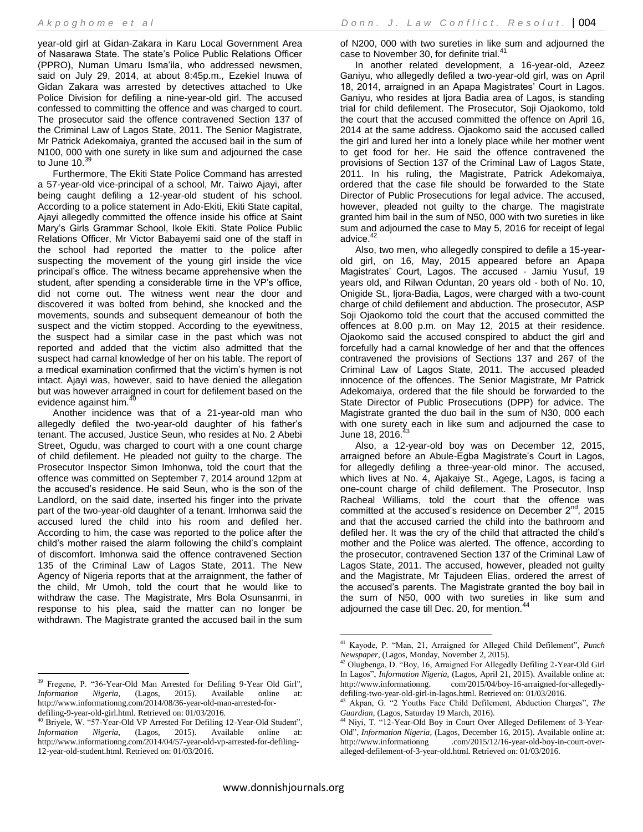year-old girl at Gidan-Zakara in Karu Local Government Area of Nasarawa State. The state's Police Public Relations Officer (PPRO), Numan Umaru Isma'ila, who addressed newsmen, said on July 29, 2014, at about 8:45p.m., Ezekiel Inuwa of Gidan Zakara was arrested by detectives attached to Uke Police Division for defiling a nine-year-old girl. The accused confessed to committing the offence and was charged to court. The prosecutor said the offence contravened Section 137 of the Criminal Law of Lagos State, 2011. The Senior Magistrate, Mr Patrick Adekomaiya, granted the accused bail in the sum of N100, 000 with one surety in like sum and adjourned the case to June  $10.<sup>39</sup>$ 

Furthermore, The Ekiti State Police Command has arrested a 57-year-old vice-principal of a school, Mr. Taiwo Ajayi, after being caught defiling a 12-year-old student of his school. According to a police statement in Ado-Ekiti, Ekiti State capital, Ajayi allegedly committed the offence inside his office at Saint Mary's Girls Grammar School, Ikole Ekiti. State Police Public Relations Officer, Mr Victor Babayemi said one of the staff in the school had reported the matter to the police after suspecting the movement of the young girl inside the vice principal's office. The witness became apprehensive when the student, after spending a considerable time in the VP's office, did not come out. The witness went near the door and discovered it was bolted from behind, she knocked and the movements, sounds and subsequent demeanour of both the suspect and the victim stopped. According to the eyewitness, the suspect had a similar case in the past which was not reported and added that the victim also admitted that the suspect had carnal knowledge of her on his table. The report of a medical examination confirmed that the victim's hymen is not intact. Ajayi was, however, said to have denied the allegation but was however arraigned in court for defilement based on the evidence against him.<sup>4</sup>

Another incidence was that of a 21-year-old man who allegedly defiled the two-year-old daughter of his father's tenant. The accused, Justice Seun, who resides at No. 2 Abebi Street, Ogudu, was charged to court with a one count charge of child defilement. He pleaded not guilty to the charge. The Prosecutor Inspector Simon Imhonwa, told the court that the offence was committed on September 7, 2014 around 12pm at the accused's residence. He said Seun, who is the son of the Landlord, on the said date, inserted his finger into the private part of the two-year-old daughter of a tenant. Imhonwa said the accused lured the child into his room and defiled her. According to him, the case was reported to the police after the child's mother raised the alarm following the child's complaint of discomfort. Imhonwa said the offence contravened Section 135 of the Criminal Law of Lagos State, 2011. The New Agency of Nigeria reports that at the arraignment, the father of the child, Mr Umoh, told the court that he would like to withdraw the case. The Magistrate, Mrs Bola Osunsanmi, in response to his plea, said the matter can no longer be withdrawn. The Magistrate granted the accused bail in the sum

 $\overline{a}$ 

of N200, 000 with two sureties in like sum and adjourned the case to November 30, for definite trial.<sup>41</sup>

In another related development, a 16-year-old, Azeez Ganiyu, who allegedly defiled a two-year-old girl, was on April 18, 2014, arraigned in an Apapa Magistrates' Court in Lagos. Ganiyu, who resides at Ijora Badia area of Lagos, is standing trial for child defilement. The Prosecutor, Soji Ojaokomo, told the court that the accused committed the offence on April 16, 2014 at the same address. Ojaokomo said the accused called the girl and lured her into a lonely place while her mother went to get food for her. He said the offence contravened the provisions of Section 137 of the Criminal Law of Lagos State, 2011. In his ruling, the Magistrate, Patrick Adekomaiya, ordered that the case file should be forwarded to the State Director of Public Prosecutions for legal advice. The accused, however, pleaded not guilty to the charge. The magistrate granted him bail in the sum of N50, 000 with two sureties in like sum and adjourned the case to May 5, 2016 for receipt of legal advice.

Also, two men, who allegedly conspired to defile a 15-yearold girl, on 16, May, 2015 appeared before an Apapa Magistrates' Court, Lagos. The accused - Jamiu Yusuf, 19 years old, and Rilwan Oduntan, 20 years old - both of No. 10, Onigide St., Ijora-Badia, Lagos, were charged with a two-count charge of child defilement and abduction. The prosecutor, ASP Soji Ojaokomo told the court that the accused committed the offences at 8.00 p.m. on May 12, 2015 at their residence. Ojaokomo said the accused conspired to abduct the girl and forcefully had a carnal knowledge of her and that the offences contravened the provisions of Sections 137 and 267 of the Criminal Law of Lagos State, 2011. The accused pleaded innocence of the offences. The Senior Magistrate, Mr Patrick Adekomaiya, ordered that the file should be forwarded to the State Director of Public Prosecutions (DPP) for advice. The Magistrate granted the duo bail in the sum of N30, 000 each with one surety each in like sum and adjourned the case to June 18, 2016.<sup>4</sup>

Also, a 12-year-old boy was on December 12, 2015, arraigned before an Abule-Egba Magistrate's Court in Lagos, for allegedly defiling a three-year-old minor. The accused, which lives at No. 4, Ajakaiye St., Agege, Lagos, is facing a one-count charge of child defilement. The Prosecutor, Insp Racheal Williams, told the court that the offence was committed at the accused's residence on December  $2^{nd}$ , 2015 and that the accused carried the child into the bathroom and defiled her. It was the cry of the child that attracted the child's mother and the Police was alerted. The offence, according to the prosecutor, contravened Section 137 of the Criminal Law of Lagos State, 2011. The accused, however, pleaded not guilty and the Magistrate, Mr Tajudeen Elias, ordered the arrest of the accused's parents. The Magistrate granted the boy bail in the sum of N50, 000 with two sureties in like sum and adjourned the case till Dec. 20, for mention.<sup>44</sup>

<sup>&</sup>lt;sup>39</sup> Fregene, P. "36-Year-Old Man Arrested for Defiling 9-Year Old Girl", *Information Nigeria*, (Lagos, 2015). Available online at: [http://www.informationng.com/2014/08/36-year-old-man-arrested-for](http://www.informationng.com/2014/08/36-year-old-man-arrested-for-defiling-9-year-old-girl.html)[defiling-9-year-old-girl.html.](http://www.informationng.com/2014/08/36-year-old-man-arrested-for-defiling-9-year-old-girl.html) Retrieved on: 01/03/2016.

<sup>40</sup> Briyele, W. "57-Year-Old VP Arrested For Defiling 12-Year-Old Student", *Information Nigeria*, (Lagos, 2015). Available online at: [http://www.informationng.com/2014/04/57-year-old-vp-arrested-for-defiling-](http://www.informationng.com/2014/04/57-year-old-vp-arrested-for-defiling-12-year-old-student.html)[12-year-old-student.html.](http://www.informationng.com/2014/04/57-year-old-vp-arrested-for-defiling-12-year-old-student.html) Retrieved on: 01/03/2016.

<sup>41</sup> Kayode, P. "Man, 21, Arraigned for Alleged Child Defilement", *Punch Newspaper*, (Lagos, Monday, November 2, 2015).

<sup>42</sup> Olugbenga, D. "Boy, 16, Arraigned For Allegedly Defiling 2-Year-Old Girl In Lagos", *Information Nigeria,* (Lagos, April 21, 2015). Available online at: [http://www.informationng.](http://www.informationng/) com/2015/04/boy-16-arraigned-for-allegedlydefiling-two-year-old-girl-in-lagos.html. Retrieved on: 01/03/2016.

<sup>43</sup> Akpan, G. "2 Youths Face Child Defilement, Abduction Charges", *The Guardian*, (Lagos, Saturday 19 March, 2016).

<sup>44</sup> Niyi, T. "12-Year-Old Boy in Court Over Alleged Defilement of 3-Year-Old", *Information Nigeria*, (Lagos, December 16, 2015). Available online at: http://www.informationng .com/2015/12/16-year-old-boy-in-court-overalleged-defilement-of-3-year-old.html. Retrieved on: 01/03/2016.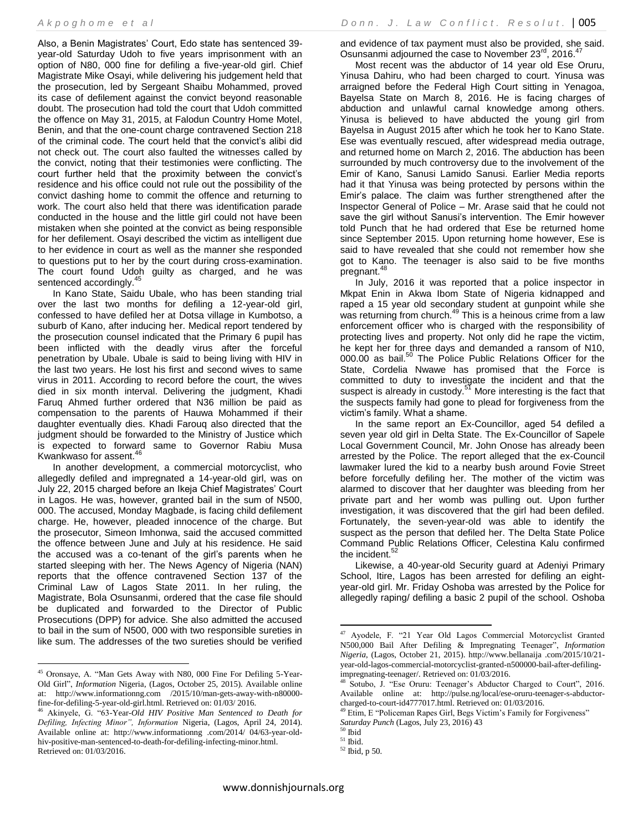Also, a Benin Magistrates' Court, Edo state has sentenced 39 year-old Saturday Udoh to five years imprisonment with an option of N80, 000 fine for defiling a five-year-old girl. Chief Magistrate Mike Osayi, while delivering his judgement held that the prosecution, led by Sergeant Shaibu Mohammed, proved its case of defilement against the convict beyond reasonable doubt. The prosecution had told the court that Udoh committed the offence on May 31, 2015, at Falodun Country Home Motel, Benin, and that the one-count charge contravened Section 218 of the criminal code. The court held that the convict's alibi did not check out. The court also faulted the witnesses called by the convict, noting that their testimonies were conflicting. The court further held that the proximity between the convict's residence and his office could not rule out the possibility of the convict dashing home to commit the offence and returning to work. The court also held that there was identification parade conducted in the house and the little girl could not have been mistaken when she pointed at the convict as being responsible for her defilement. Osayi described the victim as intelligent due to her evidence in court as well as the manner she responded to questions put to her by the court during cross-examination. The court found Udoh guilty as charged, and he was sentenced accordingly.<sup>45</sup>

In Kano State, Saidu Ubale, who has been standing trial over the last two months for defiling a 12-year-old girl, confessed to have defiled her at Dotsa village in Kumbotso, a suburb of Kano, after inducing her. Medical report tendered by the prosecution counsel indicated that the Primary 6 pupil has been inflicted with the deadly virus after the forceful penetration by Ubale. Ubale is said to being living with HIV in the last two years. He lost his first and second wives to same virus in 2011. According to record before the court, the wives died in six month interval. Delivering the judgment, Khadi Faruq Ahmed further ordered that N36 million be paid as compensation to the parents of Hauwa Mohammed if their daughter eventually dies. Khadi Farouq also directed that the judgment should be forwarded to the Ministry of Justice which is expected to forward same to Governor Rabiu Musa Kwankwaso for assent.<sup>46</sup>

In another development, a commercial motorcyclist, who allegedly defiled and impregnated a 14-year-old girl, was on July 22, 2015 charged before an Ikeja Chief Magistrates' Court in Lagos. He was, however, granted bail in the sum of N500, 000. The accused, Monday Magbade, is facing child defilement charge. He, however, pleaded innocence of the charge. But the prosecutor, Simeon Imhonwa, said the accused committed the offence between June and July at his residence. He said the accused was a co-tenant of the girl's parents when he started sleeping with her. The News Agency of Nigeria (NAN) reports that the offence contravened Section 137 of the Criminal Law of Lagos State 2011. In her ruling, the Magistrate, Bola Osunsanmi, ordered that the case file should be duplicated and forwarded to the Director of Public Prosecutions (DPP) for advice. She also admitted the accused to bail in the sum of N500, 000 with two responsible sureties in like sum. The addresses of the two sureties should be verified

 $\overline{\phantom{a}}$ 

and evidence of tax payment must also be provided, she said. Osunsanmi adjourned the case to November 23<sup>rd</sup>, 2016.<sup>47</sup>

Most recent was the abductor of 14 year old Ese Oruru, Yinusa Dahiru, who had been charged to court. Yinusa was arraigned before the Federal High Court sitting in Yenagoa, Bayelsa State on March 8, 2016. He is facing charges of abduction and unlawful carnal knowledge among others. Yinusa is believed to have abducted the young girl from Bayelsa in August 2015 after which he took her to Kano State. Ese was eventually rescued, after widespread media outrage, and returned home on March 2, 2016. The abduction has been surrounded by much controversy due to the involvement of the Emir of Kano, Sanusi Lamido Sanusi. Earlier Media reports had it that Yinusa was being protected by persons within the Emir's palace. The claim was further strengthened after the Inspector General of Police – Mr. Arase said that he could not save the girl without Sanusi's intervention. The Emir however told Punch that he had ordered that Ese be returned home since September 2015. Upon returning home however, Ese is said to have revealed that she could not remember how she got to Kano. The teenager is also said to be five months pregnant.<sup>48</sup>

In July, 2016 it was reported that a police inspector in Mkpat Enin in Akwa Ibom State of Nigeria kidnapped and raped a 15 year old secondary student at gunpoint while she was returning from church.<sup>49</sup> This is a heinous crime from a law enforcement officer who is charged with the responsibility of protecting lives and property. Not only did he rape the victim, he kept her for three days and demanded a ransom of N10, 000.00 as bail.<sup>50</sup> The Police Public Relations Officer for the State, Cordelia Nwawe has promised that the Force is committed to duty to investigate the incident and that the suspect is already in custody. $5<sup>51</sup>$  More interesting is the fact that the suspects family had gone to plead for forgiveness from the victim's family. What a shame.

In the same report an Ex-Councillor, aged 54 defiled a seven year old girl in Delta State. The Ex-Councillor of Sapele Local Government Council, Mr. John Onose has already been arrested by the Police. The report alleged that the ex-Council lawmaker lured the kid to a nearby bush around Fovie Street before forcefully defiling her. The mother of the victim was alarmed to discover that her daughter was bleeding from her private part and her womb was pulling out. Upon further investigation, it was discovered that the girl had been defiled. Fortunately, the seven-year-old was able to identify the suspect as the person that defiled her. The Delta State Police Command Public Relations Officer, Celestina Kalu confirmed the incident. $52$ 

Likewise, a 40-year-old Security guard at Adeniyi Primary School, Itire, Lagos has been arrested for defiling an eightyear-old girl. Mr. Friday Oshoba was arrested by the Police for allegedly raping/ defiling a basic 2 pupil of the school. Oshoba

<sup>45</sup> Oronsaye, A. "Man Gets Away with N80, 000 Fine For Defiling 5-Year-Old Girl", *Information* Nigeria, (Lagos, October 25, 2015). Available online at: [http://www.informationng.com](http://www.informationng.com/) /2015/10/man-gets-away-with-n80000 fine-for-defiling-5-year-old-girl.html. Retrieved on: 01/03/ 2016.

<sup>46</sup> Akinyele, G. "63-Year-*Old HIV Positive Man Sentenced to Death for Defiling, Infecting Minor", Information* Nigeria, (Lagos, April 24, 2014). Available online at: [http://www.informationng](http://www.informationng/) .com/2014/ 04/63-year-oldhiv-positive-man-sentenced-to-death-for-defiling-infecting-minor.html. Retrieved on: 01/03/2016.

<sup>47</sup> Ayodele, F. "21 Year Old Lagos Commercial Motorcyclist Granted N500,000 Bail After Defiling & Impregnating Teenager", *Information Nigeria*, (Lagos, October 21, 2015). [http://www.bellanaija](http://www.bellanaija/) .com/2015/10/21 year-old-lagos-commercial-motorcyclist-granted-n500000-bail-after-defilingimpregnating-teenager/. Retrieved on: 01/03/2016.

<sup>48</sup> Sotubo, J. "Ese Oruru: Teenager's Abductor Charged to Court", 2016. Available online at: [http://pulse.ng/local/ese-oruru-teenager-s-abductor](http://pulse.ng/local/ese-oruru-teenager-s-abductor-charged-to-court-id4777017.html)[charged-to-court-id4777017.html.](http://pulse.ng/local/ese-oruru-teenager-s-abductor-charged-to-court-id4777017.html) Retrieved on: 01/03/2016.

<sup>&</sup>lt;sup>49</sup> Etim, E "Policeman Rapes Girl, Begs Victim's Family for Forgiveness" *Saturday Punch* (Lagos, July 23, 2016) 43

<sup>50</sup> Ibid

 $^{\rm 51}$  Ibid.

<sup>52</sup> Ibid, p 50.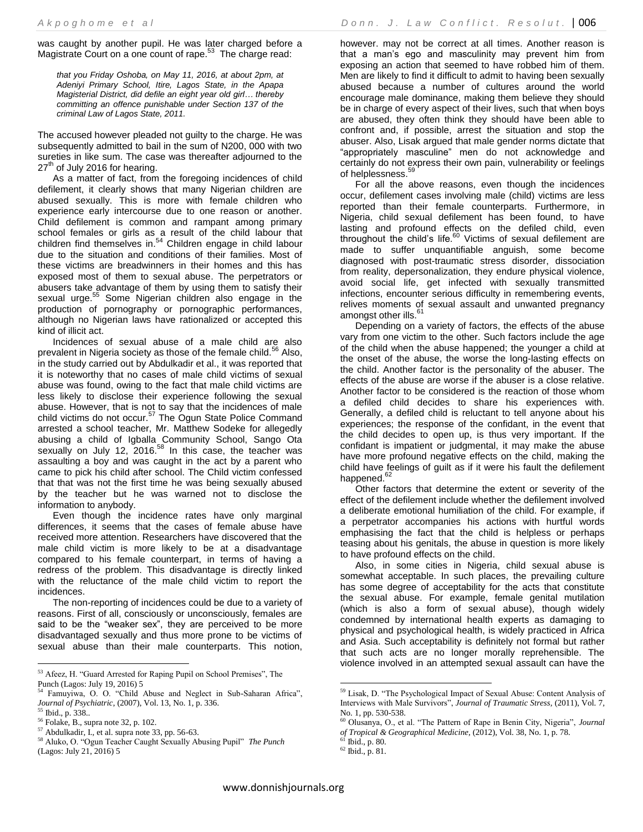was caught by another pupil. He was later charged before a Magistrate Court on a one count of rape.<sup>53</sup> The charge read:

*that you Friday Oshoba, on May 11, 2016, at about 2pm, at Adeniyi Primary School, Itire, Lagos State, in the Apapa Magisterial District, did defile an eight year old girl… thereby committing an offence punishable under Section 137 of the criminal Law of Lagos State, 2011.* 

The accused however pleaded not guilty to the charge. He was subsequently admitted to bail in the sum of N200, 000 with two sureties in like sum. The case was thereafter adjourned to the 27<sup>th</sup> of July 2016 for hearing.

As a matter of fact, from the foregoing incidences of child defilement, it clearly shows that many Nigerian children are abused sexually. This is more with female children who experience early intercourse due to one reason or another. Child defilement is common and rampant among primary school females or girls as a result of the child labour that children find themselves in.<sup>54</sup> Children engage in child labour due to the situation and conditions of their families. Most of these victims are breadwinners in their homes and this has exposed most of them to sexual abuse. The perpetrators or abusers take advantage of them by using them to satisfy their sexual urge.<sup>55</sup> Some Nigerian children also engage in the production of pornography or pornographic performances, although no Nigerian laws have rationalized or accepted this kind of illicit act.

Incidences of sexual abuse of a male child are also prevalent in Nigeria society as those of the female child.<sup>56</sup> Also, in the study carried out by Abdulkadir et al., it was reported that it is noteworthy that no cases of male child victims of sexual abuse was found, owing to the fact that male child victims are less likely to disclose their experience following the sexual abuse. However, that is not to say that the incidences of male child victims do not occur.<sup>57</sup> The Ogun State Police Command arrested a school teacher, Mr. Matthew Sodeke for allegedly abusing a child of Igballa Community School, Sango Ota sexually on July 12, 2016.<sup>58</sup> In this case, the teacher was assaulting a boy and was caught in the act by a parent who came to pick his child after school. The Child victim confessed that that was not the first time he was being sexually abused by the teacher but he was warned not to disclose the information to anybody.

Even though the incidence rates have only marginal differences, it seems that the cases of female abuse have received more attention. Researchers have discovered that the male child victim is more likely to be at a disadvantage compared to his female counterpart, in terms of having a redress of the problem. This disadvantage is directly linked with the reluctance of the male child victim to report the incidences.

The non-reporting of incidences could be due to a variety of reasons. First of all, consciously or unconsciously, females are said to be the "weaker sex", they are perceived to be more disadvantaged sexually and thus more prone to be victims of sexual abuse than their male counterparts. This notion, however. may not be correct at all times. Another reason is that a man's ego and masculinity may prevent him from exposing an action that seemed to have robbed him of them. Men are likely to find it difficult to admit to having been sexually abused because a number of cultures around the world encourage male dominance, making them believe they should be in charge of every aspect of their lives, such that when boys are abused, they often think they should have been able to confront and, if possible, arrest the situation and stop the abuser. Also, Lisak argued that male gender norms dictate that "appropriately masculine" men do not acknowledge and certainly do not express their own pain, vulnerability or feelings of helplessness.<sup>59</sup>

For all the above reasons, even though the incidences occur, defilement cases involving male (child) victims are less reported than their female counterparts. Furthermore, in Nigeria, child sexual defilement has been found, to have lasting and profound effects on the defiled child, even throughout the child's life. $60$  Victims of sexual defilement are made to suffer unquantifiable anguish, some become diagnosed with post-traumatic stress disorder, dissociation from reality, depersonalization, they endure physical violence, avoid social life, get infected with sexually transmitted infections, encounter serious difficulty in remembering events, relives moments of sexual assault and unwanted pregnancy amongst other ills.<sup>61</sup>

Depending on a variety of factors, the effects of the abuse vary from one victim to the other. Such factors include the age of the child when the abuse happened; the younger a child at the onset of the abuse, the worse the long-lasting effects on the child. Another factor is the personality of the abuser. The effects of the abuse are worse if the abuser is a close relative. Another factor to be considered is the reaction of those whom a defiled child decides to share his experiences with. Generally, a defiled child is reluctant to tell anyone about his experiences; the response of the confidant, in the event that the child decides to open up, is thus very important. If the confidant is impatient or judgmental, it may make the abuse have more profound negative effects on the child, making the child have feelings of guilt as if it were his fault the defilement happened.<sup>62</sup>

Other factors that determine the extent or severity of the effect of the defilement include whether the defilement involved a deliberate emotional humiliation of the child. For example, if a perpetrator accompanies his actions with hurtful words emphasising the fact that the child is helpless or perhaps teasing about his genitals, the abuse in question is more likely to have profound effects on the child.

Also, in some cities in Nigeria, child sexual abuse is somewhat acceptable. In such places, the prevailing culture has some degree of acceptability for the acts that constitute the sexual abuse. For example, female genital mutilation (which is also a form of sexual abuse), though widely condemned by international health experts as damaging to physical and psychological health, is widely practiced in Africa and Asia. Such acceptability is definitely not formal but rather that such acts are no longer morally reprehensible. The violence involved in an attempted sexual assault can have the

 $\overline{\phantom{a}}$ <sup>53</sup> Afeez, H. "Guard Arrested for Raping Pupil on School Premises", The Punch (Lagos: July 19, 2016) 5<br>54 Famuriting Co. (2016)

<sup>54</sup> Famuyiwa, O. O. "Child Abuse and Neglect in Sub-Saharan Africa", *Journal of Psychiatric*, (2007), Vol. 13, No. 1, p. 336.

<sup>55</sup> Ibid., p. 338..

<sup>56</sup> Folake, B., supra note 32, p. 102.

<sup>57</sup> Abdulkadir, I., et al. supra note 33, pp. 56-63.

<sup>58</sup> Aluko, O. "Ogun Teacher Caught Sexually Abusing Pupil" *The Punch* (Lagos: July 21, 2016) 5

<sup>&</sup>lt;sup>59</sup> Lisak, D. "The Psychological Impact of Sexual Abuse: Content Analysis of Interviews with Male Survivors", *Journal of Traumatic Stress,* (2011), Vol. 7*,*  No. 1, pp. 530-538.

<sup>60</sup> Olusanya, O., et al. "The Pattern of Rape in Benin City, Nigeria", *Journal of Tropical & Geographical Medicine*, (2012), Vol. 38, No. 1, p. 78.

<sup>61</sup> Ibid., p. 80.

<sup>62</sup> Ibid., p. 81.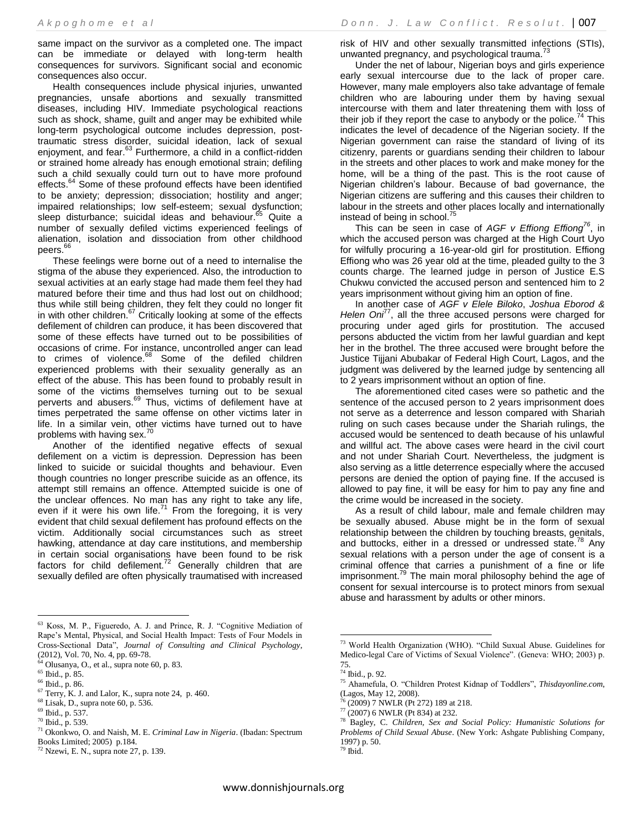same impact on the survivor as a completed one. The impact can be immediate or delayed with long-term health consequences for survivors. Significant social and economic consequences also occur.

Health consequences include physical injuries, unwanted pregnancies, unsafe abortions and sexually transmitted diseases, including HIV. Immediate psychological reactions such as shock, shame, guilt and anger may be exhibited while long-term psychological outcome includes depression, posttraumatic stress disorder, suicidal ideation, lack of sexual enjoyment, and fear.<sup>63</sup> Furthermore, a child in a conflict-ridden or strained home already has enough emotional strain; defiling such a child sexually could turn out to have more profound effects.<sup>64</sup> Some of these profound effects have been identified to be anxiety; depression; dissociation; hostility and anger; impaired relationships; low self-esteem; sexual dysfunction; sleep disturbance; suicidal ideas and behaviour.<sup>65</sup> Quite a number of sexually defiled victims experienced feelings of alienation, isolation and dissociation from other childhood peers.<sup>66</sup>

These feelings were borne out of a need to internalise the stigma of the abuse they experienced. Also, the introduction to sexual activities at an early stage had made them feel they had matured before their time and thus had lost out on childhood; thus while still being children, they felt they could no longer fit in with other children.<sup>67</sup> Critically looking at some of the effects defilement of children can produce, it has been discovered that some of these effects have turned out to be possibilities of occasions of crime. For instance, uncontrolled anger can lead to crimes of violence.<sup>68</sup> Some of the defiled children experienced problems with their sexuality generally as an effect of the abuse. This has been found to probably result in some of the victims themselves turning out to be sexual perverts and abusers.<sup>69</sup> Thus, victims of defilement have at times perpetrated the same offense on other victims later in life. In a similar vein, other victims have turned out to have problems with having sex.<sup>70</sup>

Another of the identified negative effects of sexual defilement on a victim is depression. Depression has been linked to suicide or suicidal thoughts and behaviour. Even though countries no longer prescribe suicide as an offence, its attempt still remains an offence. Attempted suicide is one of the unclear offences. No man has any right to take any life, even if it were his own life. $71$  From the foregoing, it is very evident that child sexual defilement has profound effects on the victim. Additionally social circumstances such as street hawking, attendance at day care institutions, and membership in certain social organisations have been found to be risk factors for child defilement.<sup>72</sup> Generally children that are sexually defiled are often physically traumatised with increased

 $\overline{\phantom{a}}$ <sup>63</sup> Koss, M. P., Figueredo, A. J. and Prince, R. J. "Cognitive Mediation of Rape's Mental, Physical, and Social Health Impact: Tests of Four Models in Cross-Sectional Data", *Journal of Consulting and Clinical Psychology*, (2012), Vol. 70, No. 4, pp. 69-78.

risk of HIV and other sexually transmitted infections (STIs), unwanted pregnancy, and psychological trauma.<sup>73</sup>

Under the net of labour, Nigerian boys and girls experience early sexual intercourse due to the lack of proper care. However, many male employers also take advantage of female children who are labouring under them by having sexual intercourse with them and later threatening them with loss of their job if they report the case to anybody or the police.<sup>74</sup> This indicates the level of decadence of the Nigerian society. If the Nigerian government can raise the standard of living of its citizenry, parents or guardians sending their children to labour in the streets and other places to work and make money for the home, will be a thing of the past. This is the root cause of Nigerian children's labour. Because of bad governance, the Nigerian citizens are suffering and this causes their children to labour in the streets and other places locally and internationally instead of being in school.<sup>75</sup>

This can be seen in case of *AGF v Effiong Effiong<sup>76</sup>*, in which the accused person was charged at the High Court Uyo for wilfully procuring a 16-year-old girl for prostitution. Effiong Effiong who was 26 year old at the time, pleaded guilty to the 3 counts charge. The learned judge in person of Justice E.S Chukwu convicted the accused person and sentenced him to 2 years imprisonment without giving him an option of fine.

In another case of *AGF v Elele Biloko*, *Joshua Eborod & Helen Oni*<sup>77</sup>, all the three accused persons were charged for procuring under aged girls for prostitution. The accused persons abducted the victim from her lawful guardian and kept her in the brothel. The three accused were brought before the Justice Tijjani Abubakar of Federal High Court, Lagos, and the judgment was delivered by the learned judge by sentencing all to 2 years imprisonment without an option of fine.

The aforementioned cited cases were so pathetic and the sentence of the accused person to 2 years imprisonment does not serve as a deterrence and lesson compared with Shariah ruling on such cases because under the Shariah rulings, the accused would be sentenced to death because of his unlawful and willful act. The above cases were heard in the civil court and not under Shariah Court. Nevertheless, the judgment is also serving as a little deterrence especially where the accused persons are denied the option of paying fine. If the accused is allowed to pay fine, it will be easy for him to pay any fine and the crime would be increased in the society.

As a result of child labour, male and female children may be sexually abused. Abuse might be in the form of sexual relationship between the children by touching breasts, genitals, and buttocks, either in a dressed or undressed state.<sup>78</sup> Any sexual relations with a person under the age of consent is a criminal offence that carries a punishment of a fine or life imprisonment.<sup>79</sup> The main moral philosophy behind the age of consent for sexual intercourse is to protect minors from sexual abuse and harassment by adults or other minors.

 $64$  Olusanya, O., et al., supra note 60, p. 83.

<sup>65</sup> Ibid., p. 85.

<sup>66</sup> Ibid., p. 86.

 $67$  Terry, K. J. and Lalor, K., supra note 24, p. 460.

<sup>68</sup> Lisak, D., supra note 60, p. 536.

<sup>69</sup> Ibid., p. 537.

<sup>70</sup> Ibid., p. 539.

<sup>71</sup> Okonkwo, O. and Naish, M. E. *Criminal Law in Nigeria*. (Ibadan: Spectrum Books Limited; 2005) p.184.

 $72$  Nzewi, E. N., supra note 27, p. 139.

<sup>73</sup> World Health Organization (WHO). "Child Suxual Abuse. Guidelines for Medico-legal Care of Victims of Sexual Violence". (Geneva: WHO; 2003) p. 75.

<sup>74</sup> Ibid., p. 92.

<sup>75</sup> Ahamefula, O. "Children Protest Kidnap of Toddlers", *Thisdayonline.com*, (Lagos, May 12, 2008).

<sup>(2009) 7</sup> NWLR (Pt 272) 189 at 218.

 $^{77}$  (2007) 6 NWLR (Pt 834) at 232.

<sup>78</sup> Bagley, C. *Children, Sex and Social Policy: Humanistic Solutions for Problems of Child Sexual Abuse*. (New York: Ashgate Publishing Company, 1997) p. 50.  $79$  Ibid.

www.donnishjournals.org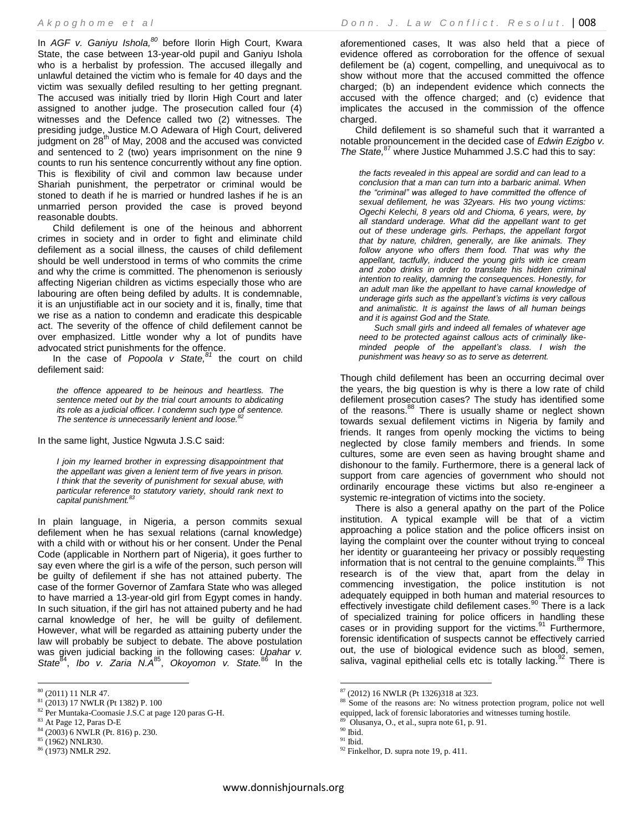In *AGF v. Ganiyu Ishola,<sup>80</sup>* before Ilorin High Court, Kwara State, the case between 13-year-old pupil and Ganiyu Ishola who is a herbalist by profession. The accused illegally and unlawful detained the victim who is female for 40 days and the victim was sexually defiled resulting to her getting pregnant. The accused was initially tried by Ilorin High Court and later assigned to another judge. The prosecution called four (4) witnesses and the Defence called two (2) witnesses. The presiding judge, Justice M.O Adewara of High Court, delivered  $\mu$ <sub>iudgment</sub> on  $28<sup>th</sup>$  of May, 2008 and the accused was convicted and sentenced to 2 (two) years imprisonment on the nine 9 counts to run his sentence concurrently without any fine option. This is flexibility of civil and common law because under Shariah punishment, the perpetrator or criminal would be stoned to death if he is married or hundred lashes if he is an unmarried person provided the case is proved beyond reasonable doubts.

Child defilement is one of the heinous and abhorrent crimes in society and in order to fight and eliminate child defilement as a social illness, the causes of child defilement should be well understood in terms of who commits the crime and why the crime is committed. The phenomenon is seriously affecting Nigerian children as victims especially those who are labouring are often being defiled by adults. It is condemnable, it is an unjustifiable act in our society and it is, finally, time that we rise as a nation to condemn and eradicate this despicable act. The severity of the offence of child defilement cannot be over emphasized. Little wonder why a lot of pundits have advocated strict punishments for the offence.

In the case of *Popoola v State,<sup>81</sup>* the court on child defilement said:

*the offence appeared to be heinous and heartless. The sentence meted out by the trial court amounts to abdicating its role as a judicial officer. I condemn such type of sentence. The sentence is unnecessarily lenient and loose.<sup>82</sup>*

In the same light, Justice Ngwuta J.S.C said:

*I join my learned brother in expressing disappointment that the appellant was given a lenient term of five years in prison. I think that the severity of punishment for sexual abuse, with particular reference to statutory variety, should rank next to capital punishment.<sup>83</sup>*

In plain language, in Nigeria, a person commits sexual defilement when he has sexual relations (carnal knowledge) with a child with or without his or her consent. Under the Penal Code (applicable in Northern part of Nigeria), it goes further to say even where the girl is a wife of the person, such person will be guilty of defilement if she has not attained puberty. The case of the former Governor of Zamfara State who was alleged to have married a 13-year-old girl from Egypt comes in handy. In such situation, if the girl has not attained puberty and he had carnal knowledge of her, he will be guilty of defilement. However, what will be regarded as attaining puberty under the law will probably be subject to debate. The above postulation was given judicial backing in the following cases: *Upahar v.*  State<sup>84</sup>, *Ibo v. Zaria N.A*<sup>85</sup>, Okoyomon v. State.<sup>86</sup> In the

 $\overline{\phantom{a}}$ 

aforementioned cases, It was also held that a piece of evidence offered as corroboration for the offence of sexual defilement be (a) cogent, compelling, and unequivocal as to show without more that the accused committed the offence charged; (b) an independent evidence which connects the accused with the offence charged; and (c) evidence that implicates the accused in the commission of the offence charged.

Child defilement is so shameful such that it warranted a notable pronouncement in the decided case of *Edwin Ezigbo v. The State,*<sup>87</sup> where Justice Muhammed J.S.C had this to say:

*the facts revealed in this appeal are sordid and can lead to a conclusion that a man can turn into a barbaric animal. When the "criminal" was alleged to have committed the offence of sexual defilement, he was 32years. His two young victims: Ogechi Kelechi, 8 years old and Chioma, 6 years, were, by all standard underage. What did the appellant want to get out of these underage girls. Perhaps, the appellant forgot that by nature, children, generally, are like animals. They follow anyone who offers them food. That was why the appellant, tactfully, induced the young girls with ice cream and zobo drinks in order to translate his hidden criminal intention to reality, damning the consequences. Honestly, for an adult man like the appellant to have carnal knowledge of underage girls such as the appellant's victims is very callous and animalistic. It is against the laws of all human beings and it is against God and the State.*

*Such small girls and indeed all females of whatever age need to be protected against callous acts of criminally likeminded people of the appellant's class. I wish the punishment was heavy so as to serve as deterrent.*

Though child defilement has been an occurring decimal over the years, the big question is why is there a low rate of child defilement prosecution cases? The study has identified some of the reasons.<sup>88</sup> There is usually shame or neglect shown towards sexual defilement victims in Nigeria by family and friends. It ranges from openly mocking the victims to being neglected by close family members and friends. In some cultures, some are even seen as having brought shame and dishonour to the family. Furthermore, there is a general lack of support from care agencies of government who should not ordinarily encourage these victims but also re-engineer a systemic re-integration of victims into the society.

There is also a general apathy on the part of the Police institution. A typical example will be that of a victim approaching a police station and the police officers insist on laying the complaint over the counter without trying to conceal her identity or guaranteeing her privacy or possibly requesting information that is not central to the genuine complaints.<sup>89</sup> This research is of the view that, apart from the delay in commencing investigation, the police institution is not adequately equipped in both human and material resources to effectively investigate child defilement cases.<sup>90</sup> There is a lack of specialized training for police officers in handling these cases or in providing support for the victims.<sup>91</sup> Furthermore, forensic identification of suspects cannot be effectively carried out, the use of biological evidence such as blood, semen, saliva, vaginal epithelial cells etc is totally lacking.<sup>92</sup> There is

 $80$  (2011) 11 NLR 47.

<sup>81</sup> (2013) 17 NWLR (Pt 1382) P. 100

<sup>82</sup> Per Muntaka-Coomasie J.S.C at page 120 paras G-H.

 $^{83}$  At Page 12, Paras D-E

<sup>84</sup> (2003) 6 NWLR (Pt. 816) p. 230.

<sup>85</sup> (1962) NNLR30.

<sup>86</sup> (1973) NMLR 292.

 $87$  (2012) 16 NWLR (Pt 1326)318 at 323.

<sup>88</sup> Some of the reasons are: No witness protection program, police not well equipped, lack of forensic laboratories and witnesses turning hostile. 89 Olusanya, O., et al., supra note 61, p. 91.

 $\rm^{90}$  Ibid.

 $^{\rm 91}$  Ibid.

 $92$  Finkelhor, D. supra note 19, p. 411.